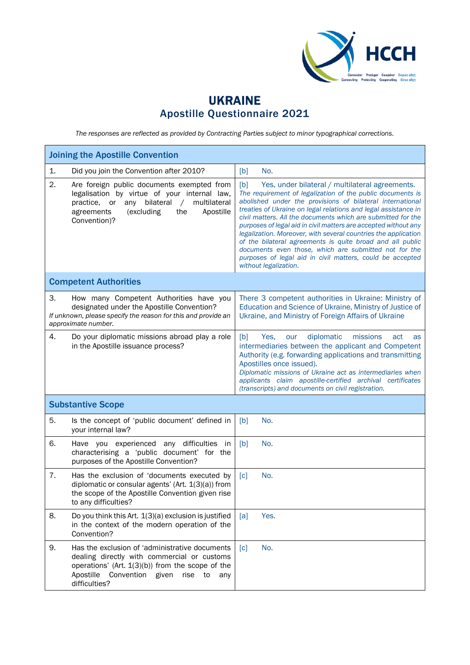

## UKRAINE Apostille Questionnaire 2021

*The responses are reflected as provided by Contracting Parties subject to minor typographical corrections.*

| <b>Joining the Apostille Convention</b>                                                                                                                                                                                               |                                                                                                                                                                                                                                                                                                                                                                                                                                                                                                                                                                                                                                                                      |  |  |  |
|---------------------------------------------------------------------------------------------------------------------------------------------------------------------------------------------------------------------------------------|----------------------------------------------------------------------------------------------------------------------------------------------------------------------------------------------------------------------------------------------------------------------------------------------------------------------------------------------------------------------------------------------------------------------------------------------------------------------------------------------------------------------------------------------------------------------------------------------------------------------------------------------------------------------|--|--|--|
| 1.<br>Did you join the Convention after 2010?                                                                                                                                                                                         | No.<br>[b]                                                                                                                                                                                                                                                                                                                                                                                                                                                                                                                                                                                                                                                           |  |  |  |
| 2.<br>Are foreign public documents exempted from<br>legalisation by virtue of your internal law,<br>bilateral<br>multilateral<br>practice,<br>or<br>any<br>$\sqrt{2}$<br>(excluding<br>the<br>Apostille<br>agreements<br>Convention)? | [b]<br>Yes, under bilateral / multilateral agreements.<br>The requirement of legalization of the public documents is<br>abolished under the provisions of bilateral international<br>treaties of Ukraine on legal relations and legal assistance in<br>civil matters. All the documents which are submitted for the<br>purposes of legal aid in civil matters are accepted without any<br>legalization. Moreover, with several countries the application<br>of the bilateral agreements is quite broad and all public<br>documents even those, which are submitted not for the<br>purposes of legal aid in civil matters, could be accepted<br>without legalization. |  |  |  |
| <b>Competent Authorities</b>                                                                                                                                                                                                          |                                                                                                                                                                                                                                                                                                                                                                                                                                                                                                                                                                                                                                                                      |  |  |  |
| 3.<br>How many Competent Authorities have you<br>designated under the Apostille Convention?<br>If unknown, please specify the reason for this and provide an<br>approximate number.                                                   | There 3 competent authorities in Ukraine: Ministry of<br>Education and Science of Ukraine, Ministry of Justice of<br>Ukraine, and Ministry of Foreign Affairs of Ukraine                                                                                                                                                                                                                                                                                                                                                                                                                                                                                             |  |  |  |
| 4.<br>Do your diplomatic missions abroad play a role<br>in the Apostille issuance process?                                                                                                                                            | diplomatic<br>[b]<br>Yes,<br>missions<br>our<br>act<br>as<br>intermediaries between the applicant and Competent<br>Authority (e.g. forwarding applications and transmitting<br>Apostilles once issued).<br>Diplomatic missions of Ukraine act as intermediaries when<br>applicants claim apostille-certified archival certificates<br>(transcripts) and documents on civil registration.                                                                                                                                                                                                                                                                             |  |  |  |
| <b>Substantive Scope</b>                                                                                                                                                                                                              |                                                                                                                                                                                                                                                                                                                                                                                                                                                                                                                                                                                                                                                                      |  |  |  |
| 5.<br>Is the concept of 'public document' defined in<br>your internal law?                                                                                                                                                            | [b]<br>No.                                                                                                                                                                                                                                                                                                                                                                                                                                                                                                                                                                                                                                                           |  |  |  |
| 6.<br>Have you experienced any difficulties<br>in<br>characterising a 'public document' for the<br>purposes of the Apostille Convention?                                                                                              | [b]<br>No.                                                                                                                                                                                                                                                                                                                                                                                                                                                                                                                                                                                                                                                           |  |  |  |
| 7.<br>Has the exclusion of 'documents executed by<br>diplomatic or consular agents' (Art. 1(3)(a)) from<br>the scope of the Apostille Convention given rise<br>to any difficulties?                                                   | No.<br>$\lceil c \rceil$                                                                                                                                                                                                                                                                                                                                                                                                                                                                                                                                                                                                                                             |  |  |  |
| 8.<br>Do you think this Art. 1(3)(a) exclusion is justified<br>in the context of the modern operation of the<br>Convention?                                                                                                           | Yes.<br>[a]                                                                                                                                                                                                                                                                                                                                                                                                                                                                                                                                                                                                                                                          |  |  |  |
| 9.<br>Has the exclusion of 'administrative documents<br>dealing directly with commercial or customs<br>operations' (Art. $1(3)(b)$ ) from the scope of the<br>Apostille<br>Convention<br>given<br>rise<br>to<br>any<br>difficulties?  | No.<br>$\lceil c \rceil$                                                                                                                                                                                                                                                                                                                                                                                                                                                                                                                                                                                                                                             |  |  |  |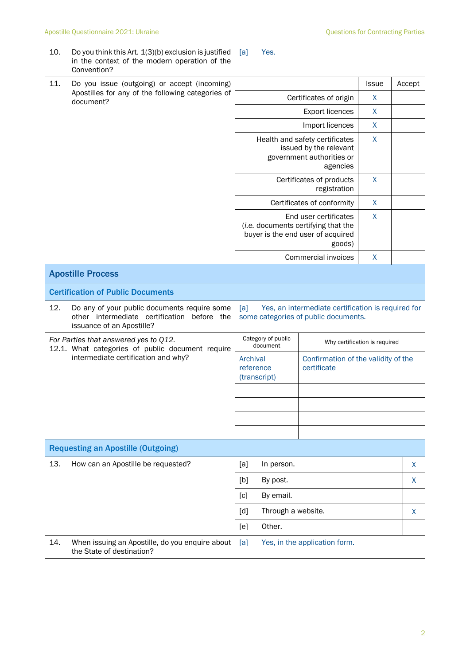| 10.       | Do you think this Art. 1(3)(b) exclusion is justified<br>in the context of the modern operation of the<br>Convention?    | [a]                                                                                               | Yes.               |                                                                                            |              |        |
|-----------|--------------------------------------------------------------------------------------------------------------------------|---------------------------------------------------------------------------------------------------|--------------------|--------------------------------------------------------------------------------------------|--------------|--------|
| 11.       | Do you issue (outgoing) or accept (incoming)                                                                             |                                                                                                   |                    |                                                                                            | <b>Issue</b> | Accept |
| document? | Apostilles for any of the following categories of                                                                        | Certificates of origin                                                                            |                    |                                                                                            | $\mathsf{X}$ |        |
|           |                                                                                                                          | <b>Export licences</b>                                                                            |                    |                                                                                            | $\mathsf{X}$ |        |
|           |                                                                                                                          | Import licences                                                                                   |                    |                                                                                            | X            |        |
|           |                                                                                                                          | Health and safety certificates<br>issued by the relevant<br>government authorities or<br>agencies |                    |                                                                                            | $\mathsf{X}$ |        |
|           |                                                                                                                          | Certificates of products<br>registration                                                          |                    |                                                                                            | X            |        |
|           |                                                                                                                          |                                                                                                   |                    | Certificates of conformity                                                                 | X            |        |
|           | End user certificates<br>(i.e. documents certifying that the<br>buyer is the end user of acquired<br>goods)              |                                                                                                   |                    | $\mathsf{X}$                                                                               |              |        |
|           |                                                                                                                          |                                                                                                   |                    | Commercial invoices                                                                        | X            |        |
|           | <b>Apostille Process</b>                                                                                                 |                                                                                                   |                    |                                                                                            |              |        |
|           | <b>Certification of Public Documents</b>                                                                                 |                                                                                                   |                    |                                                                                            |              |        |
| 12.       | Do any of your public documents require some<br>other intermediate certification before the<br>issuance of an Apostille? | [a]                                                                                               |                    | Yes, an intermediate certification is required for<br>some categories of public documents. |              |        |
|           | For Parties that answered yes to Q12.                                                                                    | Category of public<br>Why certification is required<br>document                                   |                    |                                                                                            |              |        |
|           | 12.1. What categories of public document require<br>intermediate certification and why?                                  | Archival<br>Confirmation of the validity of the<br>reference<br>certificate<br>(transcript)       |                    |                                                                                            |              |        |
|           |                                                                                                                          |                                                                                                   |                    |                                                                                            |              |        |
|           |                                                                                                                          |                                                                                                   |                    |                                                                                            |              |        |
|           |                                                                                                                          |                                                                                                   |                    |                                                                                            |              |        |
|           | <b>Requesting an Apostille (Outgoing)</b>                                                                                |                                                                                                   |                    |                                                                                            |              |        |
| 13.       | How can an Apostille be requested?                                                                                       | [a]                                                                                               | In person.         |                                                                                            |              | X      |
|           |                                                                                                                          | [b]<br>By post.                                                                                   |                    |                                                                                            | X            |        |
|           |                                                                                                                          | By email.<br>[c]                                                                                  |                    |                                                                                            |              |        |
|           |                                                                                                                          | $\lceil d \rceil$                                                                                 | Through a website. |                                                                                            |              | X      |
|           |                                                                                                                          | [e]                                                                                               | Other.             |                                                                                            |              |        |
| 14.       | When issuing an Apostille, do you enquire about<br>the State of destination?                                             | [a]<br>Yes, in the application form.                                                              |                    |                                                                                            |              |        |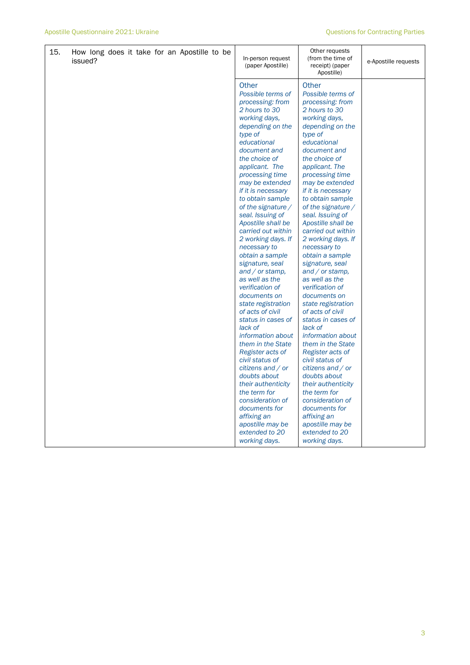| 15. | How long does it take for an Apostille to be<br>issued? | In-person request<br>(paper Apostille)                                                                                                                                                                                                                                                                                                                                                                                                                                                                                                                                                                                                                                                                                                                                                                           | Other requests<br>(from the time of<br>receipt) (paper<br>Apostille)                                                                                                                                                                                                                                                                                                                                                                                                                                                                                                                                                                                                                                                                                                                                                       | e-Apostille requests |
|-----|---------------------------------------------------------|------------------------------------------------------------------------------------------------------------------------------------------------------------------------------------------------------------------------------------------------------------------------------------------------------------------------------------------------------------------------------------------------------------------------------------------------------------------------------------------------------------------------------------------------------------------------------------------------------------------------------------------------------------------------------------------------------------------------------------------------------------------------------------------------------------------|----------------------------------------------------------------------------------------------------------------------------------------------------------------------------------------------------------------------------------------------------------------------------------------------------------------------------------------------------------------------------------------------------------------------------------------------------------------------------------------------------------------------------------------------------------------------------------------------------------------------------------------------------------------------------------------------------------------------------------------------------------------------------------------------------------------------------|----------------------|
|     |                                                         | Other<br>Possible terms of<br>processing: from<br>2 hours to 30<br>working days,<br>depending on the<br>type of<br>educational<br>document and<br>the choice of<br>applicant. The<br>processing time<br>may be extended<br>if it is necessary<br>to obtain sample<br>of the signature $/$<br>seal. Issuing of<br>Apostille shall be<br>carried out within<br>2 working days. If<br>necessary to<br>obtain a sample<br>signature, seal<br>and $\sqrt{}$ or stamp,<br>as well as the<br>verification of<br>documents on<br>state registration<br>of acts of civil<br>status in cases of<br>lack of<br>information about<br>them in the State<br>Register acts of<br>civil status of<br>citizens and / or<br>doubts about<br>their authenticity<br>the term for<br>consideration of<br>documents for<br>affixing an | Other<br>Possible terms of<br>processing: from<br>2 hours to 30<br>working days,<br>depending on the<br>type of<br>educational<br>document and<br>the choice of<br>applicant. The<br>processing time<br>may be extended<br>if it is necessary<br>to obtain sample<br>of the signature $/$<br>seal. Issuing of<br>Apostille shall be<br>carried out within<br>2 working days. If<br>necessary to<br>obtain a sample<br>signature, seal<br>and $\overline{\prime}$ or stamp,<br>as well as the<br>verification of<br>documents on<br>state registration<br>of acts of civil<br>status in cases of<br>lack of<br>information about<br>them in the State<br>Register acts of<br>civil status of<br>citizens and / or<br>doubts about<br>their authenticity<br>the term for<br>consideration of<br>documents for<br>affixing an |                      |
|     |                                                         | apostille may be<br>extended to 20<br>working days.                                                                                                                                                                                                                                                                                                                                                                                                                                                                                                                                                                                                                                                                                                                                                              | apostille may be<br>extended to 20<br>working days.                                                                                                                                                                                                                                                                                                                                                                                                                                                                                                                                                                                                                                                                                                                                                                        |                      |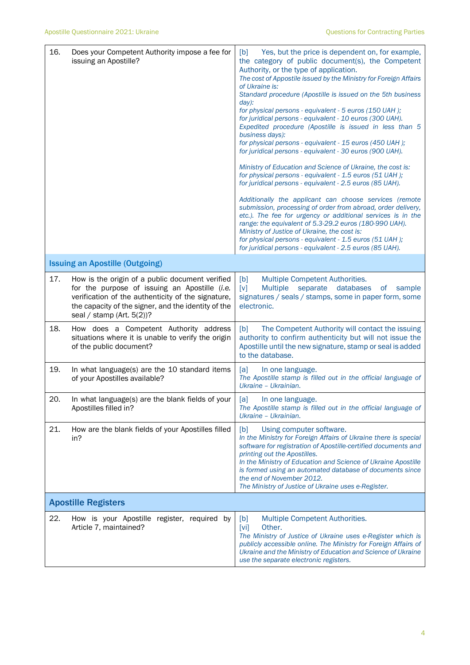| 16. | Does your Competent Authority impose a fee for<br>issuing an Apostille?                                                                                                                                                                       | Yes, but the price is dependent on, for example,<br>[b]<br>the category of public document(s), the Competent<br>Authority, or the type of application.<br>The cost of Appostile issued by the Ministry for Foreign Affairs<br>of Ukraine is:<br>Standard procedure (Apostille is issued on the 5th business<br>$day)$ :<br>for physical persons - equivalent - 5 euros (150 UAH);<br>for juridical persons - equivalent - 10 euros (300 UAH).<br>Expedited procedure (Apostille is issued in less than 5<br>business days):<br>for physical persons - equivalent - 15 euros (450 UAH);<br>for juridical persons - equivalent - 30 euros (900 UAH).<br>Ministry of Education and Science of Ukraine, the cost is:<br>for physical persons - equivalent - 1.5 euros (51 UAH);<br>for juridical persons - equivalent - 2.5 euros (85 UAH).<br>Additionally the applicant can choose services (remote<br>submission, processing of order from abroad, order delivery,<br>etc.). The fee for urgency or additional services is in the<br>range: the equivalent of 5.3-29.2 euros (180-990 UAH).<br>Ministry of Justice of Ukraine, the cost is:<br>for physical persons - equivalent - 1.5 euros (51 UAH);<br>for juridical persons - equivalent - 2.5 euros (85 UAH). |
|-----|-----------------------------------------------------------------------------------------------------------------------------------------------------------------------------------------------------------------------------------------------|-------------------------------------------------------------------------------------------------------------------------------------------------------------------------------------------------------------------------------------------------------------------------------------------------------------------------------------------------------------------------------------------------------------------------------------------------------------------------------------------------------------------------------------------------------------------------------------------------------------------------------------------------------------------------------------------------------------------------------------------------------------------------------------------------------------------------------------------------------------------------------------------------------------------------------------------------------------------------------------------------------------------------------------------------------------------------------------------------------------------------------------------------------------------------------------------------------------------------------------------------------------------|
|     | <b>Issuing an Apostille (Outgoing)</b>                                                                                                                                                                                                        |                                                                                                                                                                                                                                                                                                                                                                                                                                                                                                                                                                                                                                                                                                                                                                                                                                                                                                                                                                                                                                                                                                                                                                                                                                                                   |
| 17. | How is the origin of a public document verified<br>for the purpose of issuing an Apostille (i.e.<br>verification of the authenticity of the signature,<br>the capacity of the signer, and the identity of the<br>seal / stamp (Art. $5(2)$ )? | Multiple Competent Authorities.<br>[b]<br>[v]<br>databases<br>Multiple<br>separate<br>sample<br>of<br>signatures / seals / stamps, some in paper form, some<br>electronic.                                                                                                                                                                                                                                                                                                                                                                                                                                                                                                                                                                                                                                                                                                                                                                                                                                                                                                                                                                                                                                                                                        |
| 18. | How does a Competent Authority address<br>situations where it is unable to verify the origin<br>of the public document?                                                                                                                       | The Competent Authority will contact the issuing<br>[b]<br>authority to confirm authenticity but will not issue the<br>Apostille until the new signature, stamp or seal is added<br>to the database.                                                                                                                                                                                                                                                                                                                                                                                                                                                                                                                                                                                                                                                                                                                                                                                                                                                                                                                                                                                                                                                              |
| 19. | In what language(s) are the 10 standard items<br>of your Apostilles available?                                                                                                                                                                | [a]<br>In one language.<br>The Apostille stamp is filled out in the official language of<br>Ukraine - Ukrainian.                                                                                                                                                                                                                                                                                                                                                                                                                                                                                                                                                                                                                                                                                                                                                                                                                                                                                                                                                                                                                                                                                                                                                  |
| 20. | In what language(s) are the blank fields of your<br>Apostilles filled in?                                                                                                                                                                     | [a]<br>In one language.<br>The Apostille stamp is filled out in the official language of<br>Ukraine - Ukrainian.                                                                                                                                                                                                                                                                                                                                                                                                                                                                                                                                                                                                                                                                                                                                                                                                                                                                                                                                                                                                                                                                                                                                                  |
| 21. | How are the blank fields of your Apostilles filled<br>in?                                                                                                                                                                                     | [b]<br>Using computer software.<br>In the Ministry for Foreign Affairs of Ukraine there is special<br>software for registration of Apostille-certified documents and<br>printing out the Apostilles.<br>In the Ministry of Education and Science of Ukraine Apostille<br>is formed using an automated database of documents since<br>the end of November 2012.<br>The Ministry of Justice of Ukraine uses e-Register.                                                                                                                                                                                                                                                                                                                                                                                                                                                                                                                                                                                                                                                                                                                                                                                                                                             |
|     | <b>Apostille Registers</b>                                                                                                                                                                                                                    |                                                                                                                                                                                                                                                                                                                                                                                                                                                                                                                                                                                                                                                                                                                                                                                                                                                                                                                                                                                                                                                                                                                                                                                                                                                                   |
| 22. | How is your Apostille register, required by<br>Article 7, maintained?                                                                                                                                                                         | Multiple Competent Authorities.<br>[b]<br>[vi]<br>Other.<br>The Ministry of Justice of Ukraine uses e-Register which is<br>publicly accessible online. The Ministry for Foreign Affairs of<br>Ukraine and the Ministry of Education and Science of Ukraine<br>use the separate electronic registers.                                                                                                                                                                                                                                                                                                                                                                                                                                                                                                                                                                                                                                                                                                                                                                                                                                                                                                                                                              |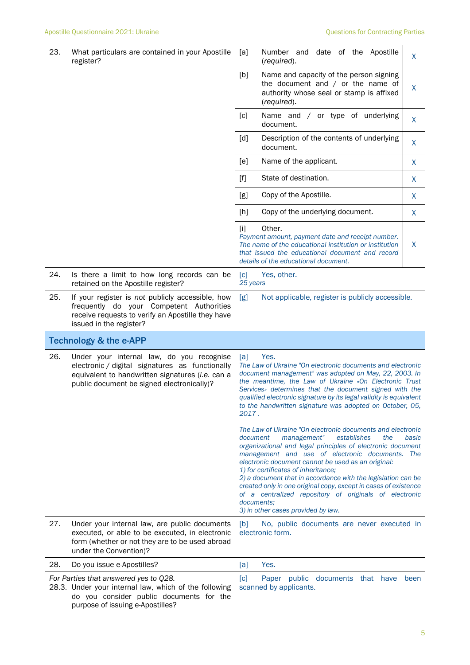| 23. | What particulars are contained in your Apostille<br>register?                                                                                                                                  | [a]<br>Number and date of the Apostille<br>(required).                                                                                                                                                                                                                                                                                                                                                                                                                                                                                                                     | X     |  |  |
|-----|------------------------------------------------------------------------------------------------------------------------------------------------------------------------------------------------|----------------------------------------------------------------------------------------------------------------------------------------------------------------------------------------------------------------------------------------------------------------------------------------------------------------------------------------------------------------------------------------------------------------------------------------------------------------------------------------------------------------------------------------------------------------------------|-------|--|--|
|     |                                                                                                                                                                                                | [b]<br>Name and capacity of the person signing<br>the document and $/$ or the name of<br>authority whose seal or stamp is affixed<br>(required).                                                                                                                                                                                                                                                                                                                                                                                                                           | X     |  |  |
|     |                                                                                                                                                                                                | Name and / or type of underlying<br>[c]<br>document.                                                                                                                                                                                                                                                                                                                                                                                                                                                                                                                       | X     |  |  |
|     |                                                                                                                                                                                                | Description of the contents of underlying<br>[d]<br>document.                                                                                                                                                                                                                                                                                                                                                                                                                                                                                                              | X     |  |  |
|     |                                                                                                                                                                                                | Name of the applicant.<br>[e]                                                                                                                                                                                                                                                                                                                                                                                                                                                                                                                                              | X     |  |  |
|     |                                                                                                                                                                                                | State of destination.<br>$[f]$                                                                                                                                                                                                                                                                                                                                                                                                                                                                                                                                             | X     |  |  |
|     |                                                                                                                                                                                                | Copy of the Apostille.<br>[g]                                                                                                                                                                                                                                                                                                                                                                                                                                                                                                                                              | X     |  |  |
|     |                                                                                                                                                                                                | Copy of the underlying document.<br>[h]                                                                                                                                                                                                                                                                                                                                                                                                                                                                                                                                    | X     |  |  |
|     |                                                                                                                                                                                                | Other.<br>$[1]$<br>Payment amount, payment date and receipt number.<br>The name of the educational institution or institution<br>that issued the educational document and record<br>details of the educational document.                                                                                                                                                                                                                                                                                                                                                   | X     |  |  |
| 24. | Is there a limit to how long records can be<br>retained on the Apostille register?                                                                                                             | [c]<br>Yes, other.<br>25 years                                                                                                                                                                                                                                                                                                                                                                                                                                                                                                                                             |       |  |  |
| 25. | If your register is not publicly accessible, how<br>frequently do your Competent Authorities<br>receive requests to verify an Apostille they have<br>issued in the register?                   | Not applicable, register is publicly accessible.<br>[g]                                                                                                                                                                                                                                                                                                                                                                                                                                                                                                                    |       |  |  |
|     | <b>Technology &amp; the e-APP</b>                                                                                                                                                              |                                                                                                                                                                                                                                                                                                                                                                                                                                                                                                                                                                            |       |  |  |
|     |                                                                                                                                                                                                |                                                                                                                                                                                                                                                                                                                                                                                                                                                                                                                                                                            |       |  |  |
| 26. | Under your internal law, do you recognise<br>electronic / digital signatures as functionally<br>equivalent to handwritten signatures (i.e. can a<br>public document be signed electronically)? | Yes.<br>[a]<br>The Law of Ukraine "On electronic documents and electronic<br>document management" was adopted on May, 22, 2003. In<br>the meantime, the Law of Ukraine «On Electronic Trust<br>Services» determines that the document signed with the<br>qualified electronic signature by its legal validity is equivalent<br>to the handwritten signature was adopted on October, 05.<br>2017.                                                                                                                                                                           |       |  |  |
|     |                                                                                                                                                                                                | The Law of Ukraine "On electronic documents and electronic<br>management"<br>establishes<br>the<br>document<br>organizational and legal principles of electronic document<br>management and use of electronic documents. The<br>electronic document cannot be used as an original:<br>1) for certificates of inheritance;<br>2) a document that in accordance with the legislation can be<br>created only in one original copy, except in cases of existence<br>of a centralized repository of originals of electronic<br>documents;<br>3) in other cases provided by law. | basic |  |  |
| 27. | Under your internal law, are public documents<br>executed, or able to be executed, in electronic<br>form (whether or not they are to be used abroad<br>under the Convention)?                  | No, public documents are never executed in<br>[b]<br>electronic form.                                                                                                                                                                                                                                                                                                                                                                                                                                                                                                      |       |  |  |
| 28. | Do you issue e-Apostilles?                                                                                                                                                                     | Yes.<br>[a]                                                                                                                                                                                                                                                                                                                                                                                                                                                                                                                                                                |       |  |  |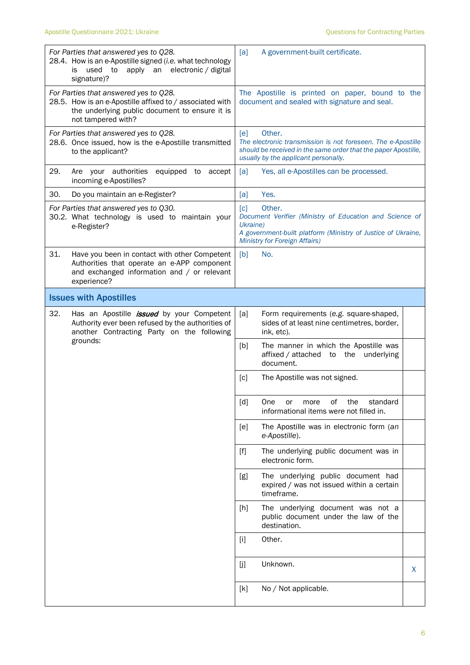| For Parties that answered yes to Q28.<br>28.4. How is an e-Apostille signed (i.e. what technology<br>apply an electronic / digital<br>used<br>to<br>is<br>signature)?     | [a]<br>A government-built certificate.                                                                                                                                                                     |
|---------------------------------------------------------------------------------------------------------------------------------------------------------------------------|------------------------------------------------------------------------------------------------------------------------------------------------------------------------------------------------------------|
| For Parties that answered yes to Q28.<br>28.5. How is an e-Apostille affixed to / associated with<br>the underlying public document to ensure it is<br>not tampered with? | The Apostille is printed on paper, bound to the<br>document and sealed with signature and seal.                                                                                                            |
| For Parties that answered yes to Q28.<br>28.6. Once issued, how is the e-Apostille transmitted<br>to the applicant?                                                       | Other.<br>[ <sub>e</sub> ]<br>The electronic transmission is not foreseen. The e-Apostille<br>should be received in the same order that the paper Apostille,<br>usually by the applicant personally.       |
| 29.<br>Are your authorities<br>equipped to<br>accept<br>incoming e-Apostilles?                                                                                            | Yes, all e-Apostilles can be processed.<br>[a]                                                                                                                                                             |
| 30.<br>Do you maintain an e-Register?                                                                                                                                     | Yes.<br>[a]                                                                                                                                                                                                |
| For Parties that answered yes to Q30.<br>30.2. What technology is used to maintain your<br>e-Register?                                                                    | Other.<br>$\lceil c \rceil$<br>Document Verifier (Ministry of Education and Science of<br>Ukraine)<br>A government-built platform (Ministry of Justice of Ukraine,<br><b>Ministry for Foreign Affairs)</b> |
| 31.<br>Have you been in contact with other Competent<br>Authorities that operate an e-APP component<br>and exchanged information and / or relevant<br>experience?         | [b]<br>No.                                                                                                                                                                                                 |
| <b>Issues with Apostilles</b>                                                                                                                                             |                                                                                                                                                                                                            |
| 32.<br>Has an Apostille <i>issued</i> by your Competent<br>Authority ever been refused by the authorities of<br>another Contracting Party on the following                | [a]<br>Form requirements (e.g. square-shaped,<br>sides of at least nine centimetres, border,<br>ink, etc).                                                                                                 |
| grounds:                                                                                                                                                                  | [b]<br>The manner in which the Apostille was<br>affixed / attached<br>the<br>underlying<br>to<br>document.                                                                                                 |
|                                                                                                                                                                           | The Apostille was not signed.<br>$\lceil c \rceil$                                                                                                                                                         |
|                                                                                                                                                                           | [d]<br>One<br>οf<br>the<br>more<br>standard<br>or<br>informational items were not filled in.                                                                                                               |
|                                                                                                                                                                           | [e]<br>The Apostille was in electronic form (an<br>e-Apostille).                                                                                                                                           |
|                                                                                                                                                                           | $[f]$<br>The underlying public document was in<br>electronic form.                                                                                                                                         |
|                                                                                                                                                                           | The underlying public document had<br>[g]<br>expired / was not issued within a certain<br>timeframe.                                                                                                       |
|                                                                                                                                                                           | The underlying document was not a<br>$[h]$<br>public document under the law of the<br>destination.                                                                                                         |
|                                                                                                                                                                           | Other.<br>$[1]$                                                                                                                                                                                            |
|                                                                                                                                                                           | Unknown.<br>$[]$<br>X                                                                                                                                                                                      |
|                                                                                                                                                                           | [k]<br>No / Not applicable.                                                                                                                                                                                |